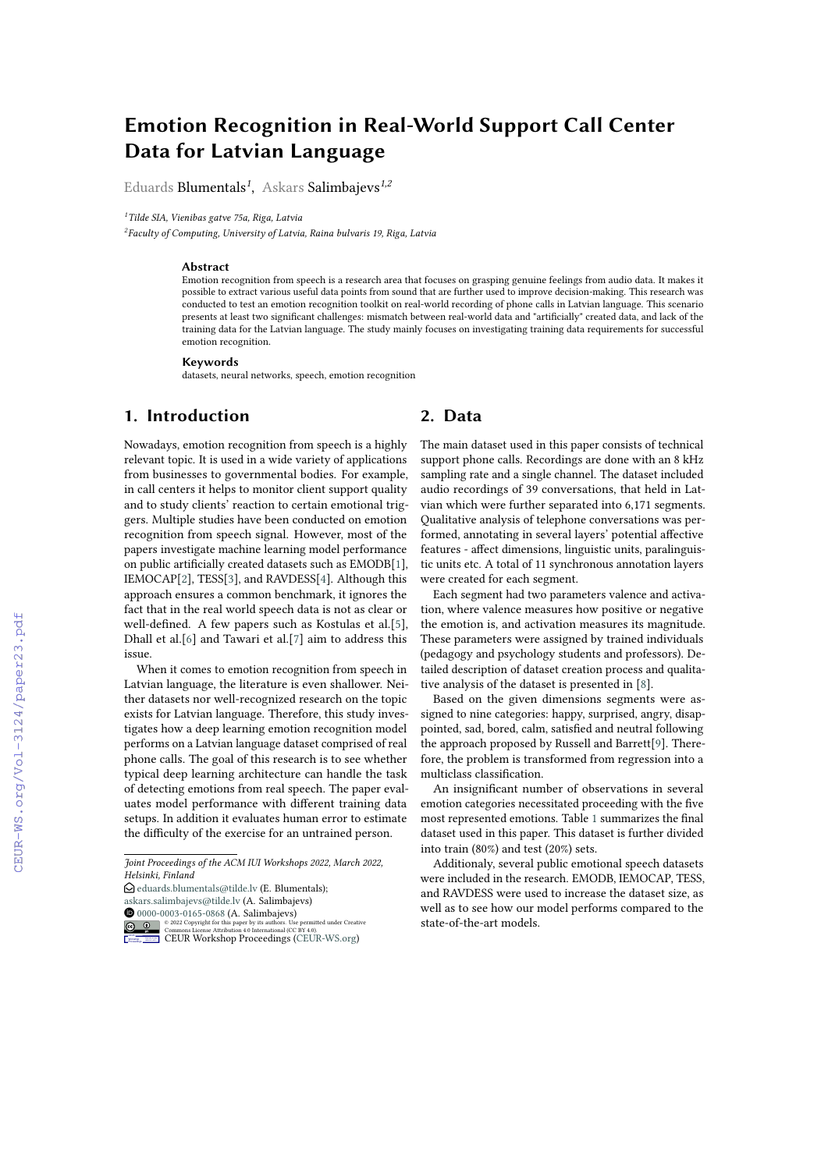# **Emotion Recognition in Real-World Support Call Center Data for Latvian Language**

Eduards Blumentals*<sup>1</sup>* , Askars Salimbajevs*1,2*

*<sup>1</sup>Tilde SIA, Vienibas gatve 75a, Riga, Latvia*

*2 Faculty of Computing, University of Latvia, Raina bulvaris 19, Riga, Latvia*

#### **Abstract**

Emotion recognition from speech is a research area that focuses on grasping genuine feelings from audio data. It makes it possible to extract various useful data points from sound that are further used to improve decision-making. This research was conducted to test an emotion recognition toolkit on real-world recording of phone calls in Latvian language. This scenario presents at least two significant challenges: mismatch between real-world data and "artificially" created data, and lack of the training data for the Latvian language. The study mainly focuses on investigating training data requirements for successful emotion recognition.

#### **Keywords**

datasets, neural networks, speech, emotion recognition

### **1. Introduction**

Nowadays, emotion recognition from speech is a highly relevant topic. It is used in a wide variety of applications from businesses to governmental bodies. For example, in call centers it helps to monitor client support quality and to study clients' reaction to certain emotional triggers. Multiple studies have been conducted on emotion recognition from speech signal. However, most of the papers investigate machine learning model performance on public artificially created datasets such as EMODB[\[1\]](#page--1-0), IEMOCAP[\[2\]](#page--1-1), TESS[\[3\]](#page--1-2), and RAVDESS[\[4\]](#page--1-3). Although this approach ensures a common benchmark, it ignores the fact that in the real world speech data is not as clear or well-defined. A few papers such as Kostulas et al.[\[5\]](#page--1-4), Dhall et al.[\[6\]](#page--1-5) and Tawari et al.[\[7\]](#page--1-6) aim to address this issue.

When it comes to emotion recognition from speech in Latvian language, the literature is even shallower. Neither datasets nor well-recognized research on the topic exists for Latvian language. Therefore, this study investigates how a deep learning emotion recognition model performs on a Latvian language dataset comprised of real phone calls. The goal of this research is to see whether typical deep learning architecture can handle the task of detecting emotions from real speech. The paper evaluates model performance with different training data setups. In addition it evaluates human error to estimate the difficulty of the exercise for an untrained person.

*Joint Proceedings of the ACM IUI Workshops 2022, March 2022, Helsinki, Finland*

 $\bigcirc$  [eduards.blumentals@tilde.lv](mailto:eduards.blumentals@tilde.lv) (E. Blumentals); [askars.salimbajevs@tilde.lv](mailto:askars.salimbajevs@tilde.lv) (A. Salimbajevs) **10** [0000-0003-0165-0868](https://orcid.org/0000-0003-0165-0868) (A. Salimbajevs)



### **2. Data**

The main dataset used in this paper consists of technical support phone calls. Recordings are done with an 8 kHz sampling rate and a single channel. The dataset included audio recordings of 39 conversations, that held in Latvian which were further separated into 6,171 segments. Qualitative analysis of telephone conversations was performed, annotating in several layers' potential affective features - affect dimensions, linguistic units, paralinguistic units etc. A total of 11 synchronous annotation layers were created for each segment.

Each segment had two parameters valence and activation, where valence measures how positive or negative the emotion is, and activation measures its magnitude. These parameters were assigned by trained individuals (pedagogy and psychology students and professors). Detailed description of dataset creation process and qualitative analysis of the dataset is presented in [\[8\]](#page--1-7).

Based on the given dimensions segments were assigned to nine categories: happy, surprised, angry, disappointed, sad, bored, calm, satisfied and neutral following the approach proposed by Russell and Barrett[\[9\]](#page--1-8). Therefore, the problem is transformed from regression into a multiclass classification.

An insignificant number of observations in several emotion categories necessitated proceeding with the five most represented emotions. Table [1](#page--1-9) summarizes the final dataset used in this paper. This dataset is further divided into train (80%) and test (20%) sets.

Additionaly, several public emotional speech datasets were included in the research. EMODB, IEMOCAP, TESS, and RAVDESS were used to increase the dataset size, as well as to see how our model performs compared to the state-of-the-art models.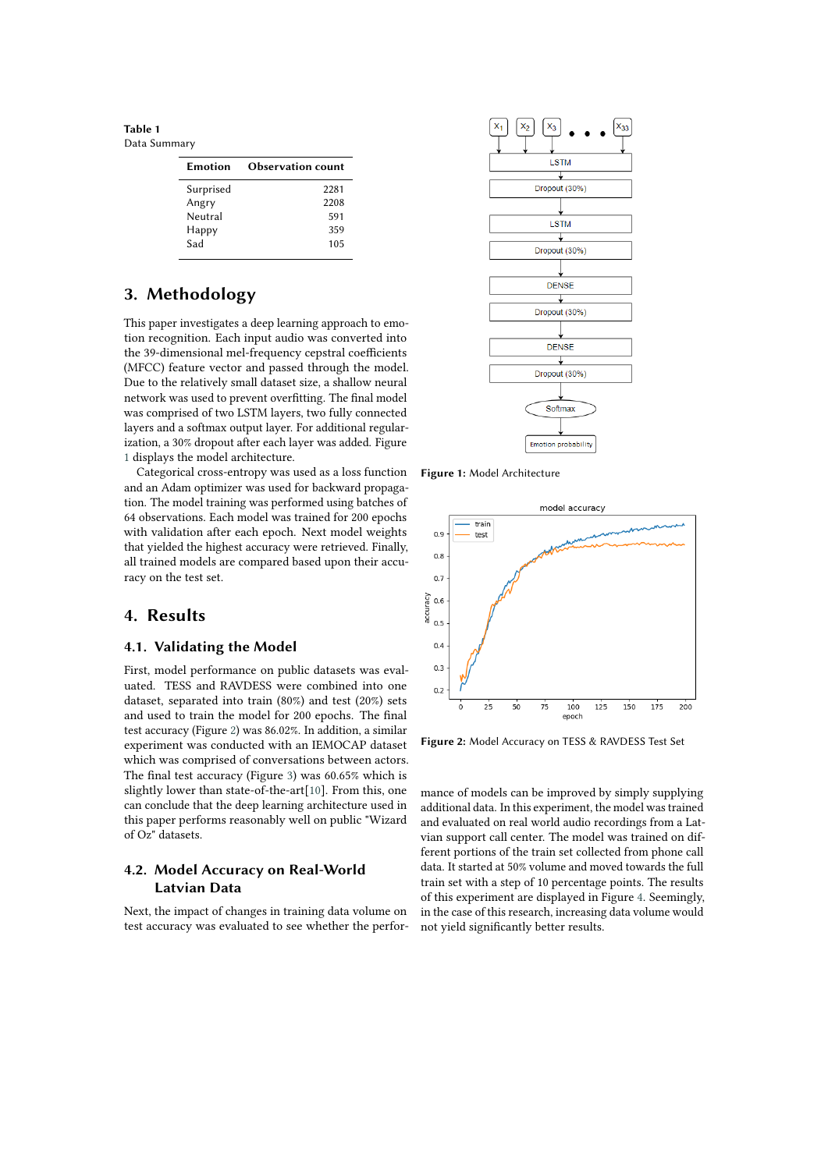**Table 1** Data Summary

| <b>Emotion</b> | <b>Observation count</b> |  |
|----------------|--------------------------|--|
| Surprised      | 2281                     |  |
| Angry          | 2208                     |  |
| Neutral        | 591                      |  |
| Happy          | 359                      |  |
| Sad            | 105                      |  |
|                |                          |  |

## **3. Methodology**

This paper investigates a deep learning approach to emotion recognition. Each input audio was converted into the 39-dimensional mel-frequency cepstral coefficients (MFCC) feature vector and passed through the model. Due to the relatively small dataset size, a shallow neural network was used to prevent overfitting. The final model was comprised of two LSTM layers, two fully connected layers and a softmax output layer. For additional regularization, a 30% dropout after each layer was added. Figure [1](#page-1-0) displays the model architecture.

Categorical cross-entropy was used as a loss function and an Adam optimizer was used for backward propagation. The model training was performed using batches of 64 observations. Each model was trained for 200 epochs with validation after each epoch. Next model weights that yielded the highest accuracy were retrieved. Finally, all trained models are compared based upon their accuracy on the test set.

### **4. Results**

#### **4.1. Validating the Model**

First, model performance on public datasets was evaluated. TESS and RAVDESS were combined into one dataset, separated into train (80%) and test (20%) sets and used to train the model for 200 epochs. The final test accuracy (Figure [2\)](#page-1-1) was 86.02%. In addition, a similar experiment was conducted with an IEMOCAP dataset which was comprised of conversations between actors. The final test accuracy (Figure [3\)](#page-2-0) was 60.65% which is slightly lower than state-of-the-art[\[10\]](#page-3-0). From this, one can conclude that the deep learning architecture used in this paper performs reasonably well on public "Wizard of Oz" datasets.

### **4.2. Model Accuracy on Real-World Latvian Data**

Next, the impact of changes in training data volume on test accuracy was evaluated to see whether the perfor-



<span id="page-1-0"></span>**Figure 1:** Model Architecture



<span id="page-1-1"></span>**Figure 2:** Model Accuracy on TESS & RAVDESS Test Set

mance of models can be improved by simply supplying additional data. In this experiment, the model was trained and evaluated on real world audio recordings from a Latvian support call center. The model was trained on different portions of the train set collected from phone call data. It started at 50% volume and moved towards the full train set with a step of 10 percentage points. The results of this experiment are displayed in Figure [4.](#page-2-1) Seemingly, in the case of this research, increasing data volume would not yield significantly better results.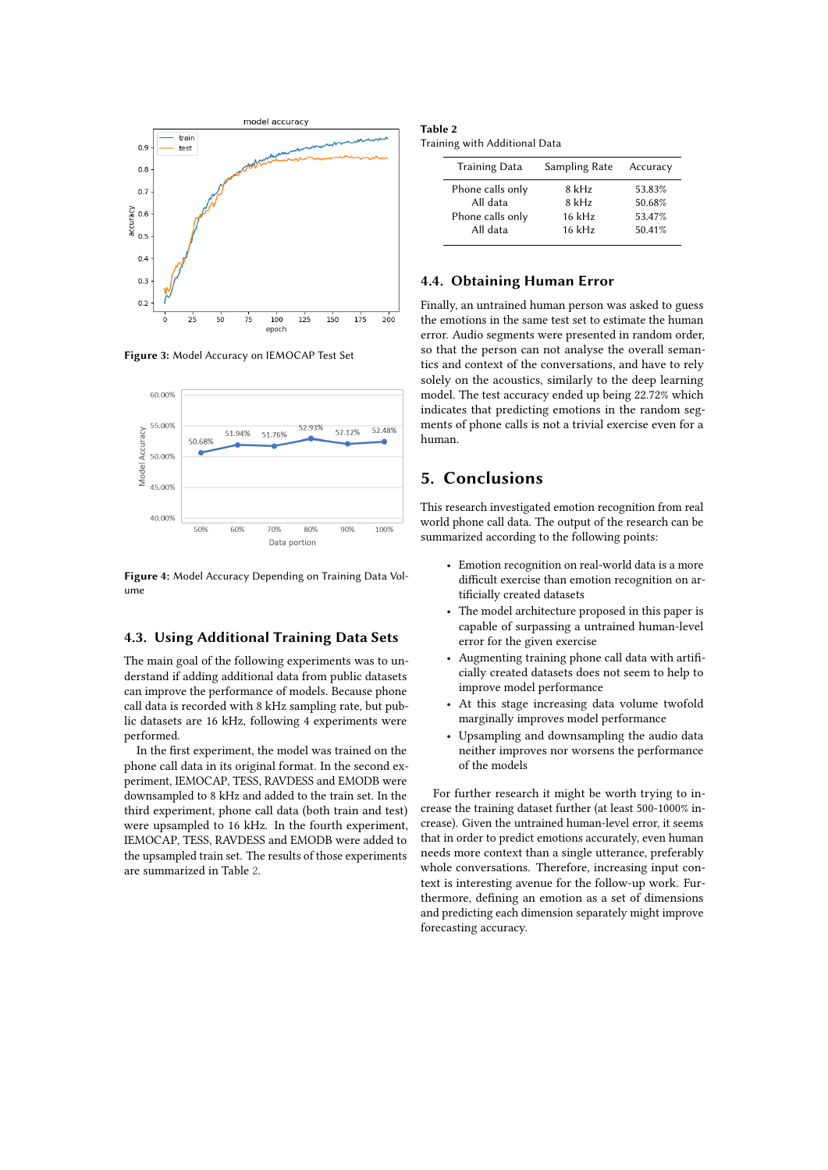

**Figure 3:** Model Accuracy on IEMOCAP Test Set



<span id="page-2-1"></span>**Figure 4:** Model Accuracy Depending on Training Data Volume

#### **4.3. Using Additional Training Data Sets**

The main goal of the following experiments was to understand if adding additional data from public datasets can improve the performance of models. Because phone call data is recorded with 8 kHz sampling rate, but public datasets are 16 kHz, following 4 experiments were performed.

In the first experiment, the model was trained on the phone call data in its original format. In the second experiment, IEMOCAP, TESS, RAVDESS and EMODB were downsampled to 8 kHz and added to the train set. In the third experiment, phone call data (both train and test) were upsampled to 16 kHz. In the fourth experiment, IEMOCAP, TESS, RAVDESS and EMODB were added to the upsampled train set. The results of those experiments are summarized in Table [2.](#page-2-2)

<span id="page-2-2"></span>

| Table 2 |                               |  |
|---------|-------------------------------|--|
|         | Training with Additional Data |  |

| <b>Training Data</b> | Sampling Rate | Accuracy |
|----------------------|---------------|----------|
| Phone calls only     | 8 kHz         | 53.83%   |
| All data             | 8 kHz         | 50.68%   |
| Phone calls only     | 16 kHz        | 53.47%   |
| All data             | 16 kHz        | 50.41%   |
|                      |               |          |

#### **4.4. Obtaining Human Error**

<span id="page-2-0"></span>Finally, an untrained human person was asked to guess the emotions in the same test set to estimate the human error. Audio segments were presented in random order, so that the person can not analyse the overall semantics and context of the conversations, and have to rely solely on the acoustics, similarly to the deep learning model. The test accuracy ended up being 22.72% which indicates that predicting emotions in the random segments of phone calls is not a trivial exercise even for a human.

### **5. Conclusions**

This research investigated emotion recognition from real world phone call data. The output of the research can be summarized according to the following points:

- Emotion recognition on real-world data is a more difficult exercise than emotion recognition on artificially created datasets
- The model architecture proposed in this paper is capable of surpassing a untrained human-level error for the given exercise
- Augmenting training phone call data with artificially created datasets does not seem to help to improve model performance
- At this stage increasing data volume twofold marginally improves model performance
- Upsampling and downsampling the audio data neither improves nor worsens the performance of the models

For further research it might be worth trying to increase the training dataset further (at least 500-1000% increase). Given the untrained human-level error, it seems that in order to predict emotions accurately, even human needs more context than a single utterance, preferably whole conversations. Therefore, increasing input context is interesting avenue for the follow-up work. Furthermore, defining an emotion as a set of dimensions and predicting each dimension separately might improve forecasting accuracy.